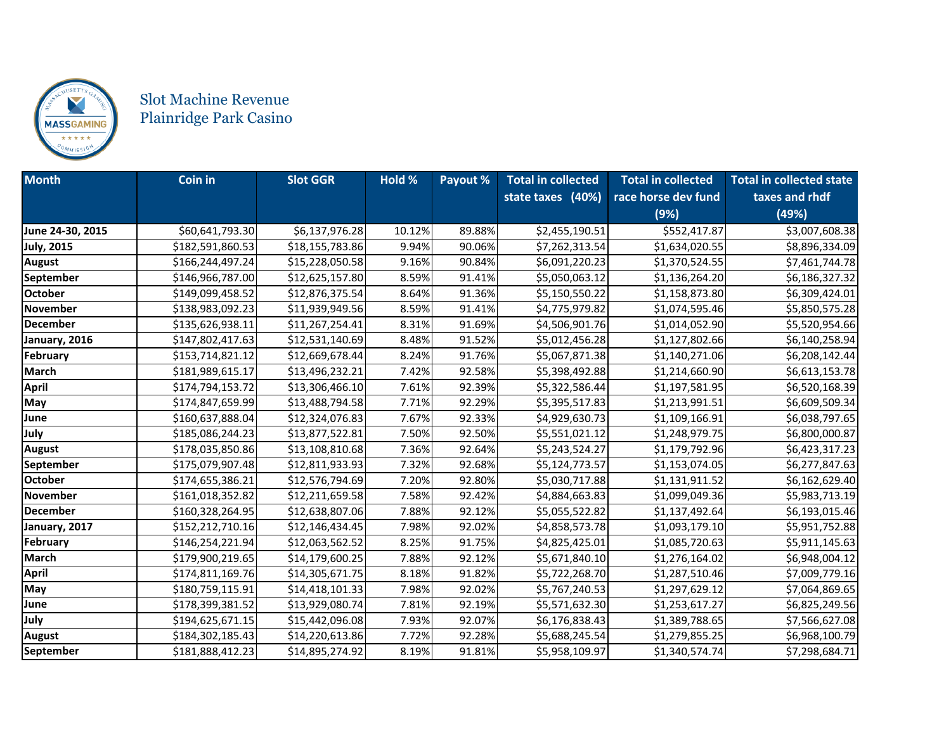

## Slot Machine Revenue Plainridge Park Casino

| <b>Month</b>      | <b>Coin in</b>   | <b>Slot GGR</b> | Hold % | Payout % | <b>Total in collected</b> | <b>Total in collected</b> | <b>Total in collected state</b> |
|-------------------|------------------|-----------------|--------|----------|---------------------------|---------------------------|---------------------------------|
|                   |                  |                 |        |          | state taxes (40%)         | race horse dev fund       | taxes and rhdf                  |
|                   |                  |                 |        |          |                           | (9%)                      | (49%)                           |
| June 24-30, 2015  | \$60,641,793.30  | \$6,137,976.28  | 10.12% | 89.88%   | \$2,455,190.51            | \$552,417.87              | \$3,007,608.38                  |
| <b>July, 2015</b> | \$182,591,860.53 | \$18,155,783.86 | 9.94%  | 90.06%   | \$7,262,313.54            | \$1,634,020.55            | \$8,896,334.09                  |
| <b>August</b>     | \$166,244,497.24 | \$15,228,050.58 | 9.16%  | 90.84%   | \$6,091,220.23            | \$1,370,524.55            | \$7,461,744.78                  |
| September         | \$146,966,787.00 | \$12,625,157.80 | 8.59%  | 91.41%   | \$5,050,063.12            | \$1,136,264.20            | \$6,186,327.32                  |
| <b>October</b>    | \$149,099,458.52 | \$12,876,375.54 | 8.64%  | 91.36%   | \$5,150,550.22            | \$1,158,873.80            | \$6,309,424.01                  |
| <b>November</b>   | \$138,983,092.23 | \$11,939,949.56 | 8.59%  | 91.41%   | \$4,775,979.82            | \$1,074,595.46            | \$5,850,575.28                  |
| <b>December</b>   | \$135,626,938.11 | \$11,267,254.41 | 8.31%  | 91.69%   | \$4,506,901.76            | \$1,014,052.90            | \$5,520,954.66                  |
| January, 2016     | \$147,802,417.63 | \$12,531,140.69 | 8.48%  | 91.52%   | \$5,012,456.28            | \$1,127,802.66            | \$6,140,258.94                  |
| February          | \$153,714,821.12 | \$12,669,678.44 | 8.24%  | 91.76%   | \$5,067,871.38            | \$1,140,271.06            | \$6,208,142.44                  |
| <b>March</b>      | \$181,989,615.17 | \$13,496,232.21 | 7.42%  | 92.58%   | \$5,398,492.88            | \$1,214,660.90            | \$6,613,153.78                  |
| <b>April</b>      | \$174,794,153.72 | \$13,306,466.10 | 7.61%  | 92.39%   | \$5,322,586.44            | \$1,197,581.95            | \$6,520,168.39                  |
| May               | \$174,847,659.99 | \$13,488,794.58 | 7.71%  | 92.29%   | \$5,395,517.83            | \$1,213,991.51            | \$6,609,509.34                  |
| June              | \$160,637,888.04 | \$12,324,076.83 | 7.67%  | 92.33%   | \$4,929,630.73            | \$1,109,166.91            | \$6,038,797.65                  |
| July              | \$185,086,244.23 | \$13,877,522.81 | 7.50%  | 92.50%   | \$5,551,021.12            | \$1,248,979.75            | \$6,800,000.87                  |
| <b>August</b>     | \$178,035,850.86 | \$13,108,810.68 | 7.36%  | 92.64%   | \$5,243,524.27            | \$1,179,792.96            | \$6,423,317.23                  |
| September         | \$175,079,907.48 | \$12,811,933.93 | 7.32%  | 92.68%   | \$5,124,773.57            | \$1,153,074.05            | \$6,277,847.63                  |
| <b>October</b>    | \$174,655,386.21 | \$12,576,794.69 | 7.20%  | 92.80%   | \$5,030,717.88            | \$1,131,911.52            | \$6,162,629.40                  |
| <b>November</b>   | \$161,018,352.82 | \$12,211,659.58 | 7.58%  | 92.42%   | \$4,884,663.83            | \$1,099,049.36            | \$5,983,713.19                  |
| <b>December</b>   | \$160,328,264.95 | \$12,638,807.06 | 7.88%  | 92.12%   | \$5,055,522.82            | \$1,137,492.64            | \$6,193,015.46                  |
| January, 2017     | \$152,212,710.16 | \$12,146,434.45 | 7.98%  | 92.02%   | \$4,858,573.78            | \$1,093,179.10            | \$5,951,752.88                  |
| <b>February</b>   | \$146,254,221.94 | \$12,063,562.52 | 8.25%  | 91.75%   | \$4,825,425.01            | \$1,085,720.63            | \$5,911,145.63                  |
| <b>March</b>      | \$179,900,219.65 | \$14,179,600.25 | 7.88%  | 92.12%   | \$5,671,840.10            | \$1,276,164.02            | \$6,948,004.12                  |
| <b>April</b>      | \$174,811,169.76 | \$14,305,671.75 | 8.18%  | 91.82%   | \$5,722,268.70            | \$1,287,510.46            | \$7,009,779.16                  |
| May               | \$180,759,115.91 | \$14,418,101.33 | 7.98%  | 92.02%   | \$5,767,240.53            | \$1,297,629.12            | \$7,064,869.65                  |
| June              | \$178,399,381.52 | \$13,929,080.74 | 7.81%  | 92.19%   | \$5,571,632.30            | \$1,253,617.27            | \$6,825,249.56                  |
| July              | \$194,625,671.15 | \$15,442,096.08 | 7.93%  | 92.07%   | \$6,176,838.43            | \$1,389,788.65            | \$7,566,627.08                  |
| <b>August</b>     | \$184,302,185.43 | \$14,220,613.86 | 7.72%  | 92.28%   | \$5,688,245.54            | \$1,279,855.25            | \$6,968,100.79                  |
| September         | \$181,888,412.23 | \$14,895,274.92 | 8.19%  | 91.81%   | \$5,958,109.97            | \$1,340,574.74            | \$7,298,684.71                  |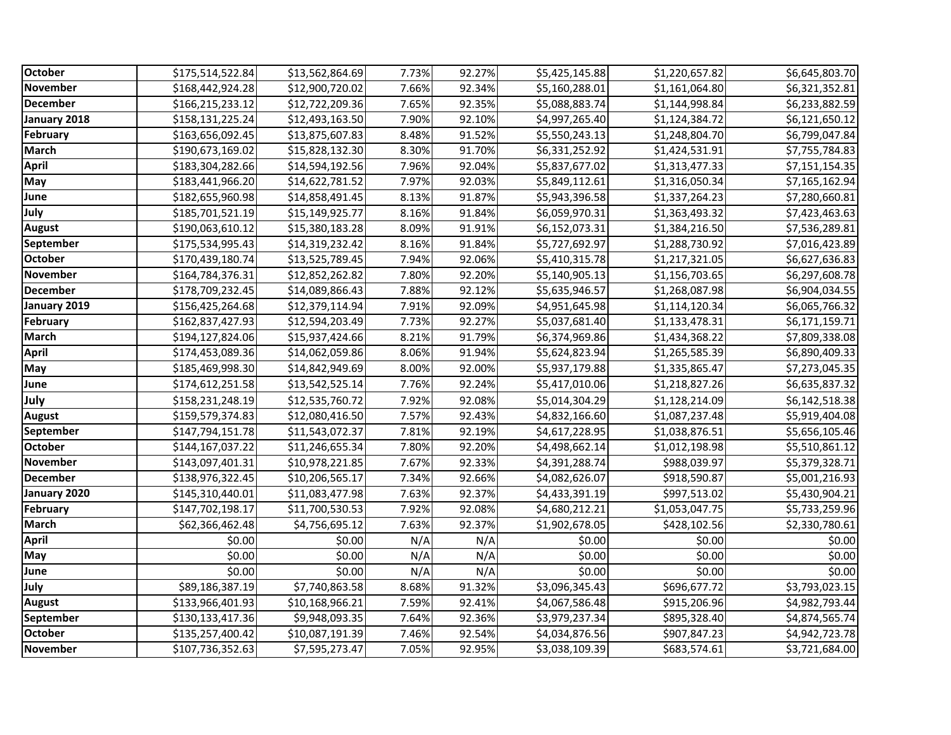| October          | \$175,514,522.84 | \$13,562,864.69 | 7.73% | 92.27% | \$5,425,145.88 | \$1,220,657.82 | \$6,645,803.70 |
|------------------|------------------|-----------------|-------|--------|----------------|----------------|----------------|
| <b>November</b>  | \$168,442,924.28 | \$12,900,720.02 | 7.66% | 92.34% | \$5,160,288.01 | \$1,161,064.80 | \$6,321,352.81 |
| <b>December</b>  | \$166,215,233.12 | \$12,722,209.36 | 7.65% | 92.35% | \$5,088,883.74 | \$1,144,998.84 | \$6,233,882.59 |
| January 2018     | \$158,131,225.24 | \$12,493,163.50 | 7.90% | 92.10% | \$4,997,265.40 | \$1,124,384.72 | \$6,121,650.12 |
| February         | \$163,656,092.45 | \$13,875,607.83 | 8.48% | 91.52% | \$5,550,243.13 | \$1,248,804.70 | \$6,799,047.84 |
| <b>March</b>     | \$190,673,169.02 | \$15,828,132.30 | 8.30% | 91.70% | \$6,331,252.92 | \$1,424,531.91 | \$7,755,784.83 |
| <b>April</b>     | \$183,304,282.66 | \$14,594,192.56 | 7.96% | 92.04% | \$5,837,677.02 | \$1,313,477.33 | \$7,151,154.35 |
| May              | \$183,441,966.20 | \$14,622,781.52 | 7.97% | 92.03% | \$5,849,112.61 | \$1,316,050.34 | \$7,165,162.94 |
| June             | \$182,655,960.98 | \$14,858,491.45 | 8.13% | 91.87% | \$5,943,396.58 | \$1,337,264.23 | \$7,280,660.81 |
| July             | \$185,701,521.19 | \$15,149,925.77 | 8.16% | 91.84% | \$6,059,970.31 | \$1,363,493.32 | \$7,423,463.63 |
| <b>August</b>    | \$190,063,610.12 | \$15,380,183.28 | 8.09% | 91.91% | \$6,152,073.31 | \$1,384,216.50 | \$7,536,289.81 |
| <b>September</b> | \$175,534,995.43 | \$14,319,232.42 | 8.16% | 91.84% | \$5,727,692.97 | \$1,288,730.92 | \$7,016,423.89 |
| <b>October</b>   | \$170,439,180.74 | \$13,525,789.45 | 7.94% | 92.06% | \$5,410,315.78 | \$1,217,321.05 | \$6,627,636.83 |
| <b>November</b>  | \$164,784,376.31 | \$12,852,262.82 | 7.80% | 92.20% | \$5,140,905.13 | \$1,156,703.65 | \$6,297,608.78 |
| <b>December</b>  | \$178,709,232.45 | \$14,089,866.43 | 7.88% | 92.12% | \$5,635,946.57 | \$1,268,087.98 | \$6,904,034.55 |
| January 2019     | \$156,425,264.68 | \$12,379,114.94 | 7.91% | 92.09% | \$4,951,645.98 | \$1,114,120.34 | \$6,065,766.32 |
| February         | \$162,837,427.93 | \$12,594,203.49 | 7.73% | 92.27% | \$5,037,681.40 | \$1,133,478.31 | \$6,171,159.71 |
| <b>March</b>     | \$194,127,824.06 | \$15,937,424.66 | 8.21% | 91.79% | \$6,374,969.86 | \$1,434,368.22 | \$7,809,338.08 |
| April            | \$174,453,089.36 | \$14,062,059.86 | 8.06% | 91.94% | \$5,624,823.94 | \$1,265,585.39 | \$6,890,409.33 |
| May              | \$185,469,998.30 | \$14,842,949.69 | 8.00% | 92.00% | \$5,937,179.88 | \$1,335,865.47 | \$7,273,045.35 |
| June             | \$174,612,251.58 | \$13,542,525.14 | 7.76% | 92.24% | \$5,417,010.06 | \$1,218,827.26 | \$6,635,837.32 |
| July             | \$158,231,248.19 | \$12,535,760.72 | 7.92% | 92.08% | \$5,014,304.29 | \$1,128,214.09 | \$6,142,518.38 |
| <b>August</b>    | \$159,579,374.83 | \$12,080,416.50 | 7.57% | 92.43% | \$4,832,166.60 | \$1,087,237.48 | \$5,919,404.08 |
| September        | \$147,794,151.78 | \$11,543,072.37 | 7.81% | 92.19% | \$4,617,228.95 | \$1,038,876.51 | \$5,656,105.46 |
| <b>October</b>   | \$144,167,037.22 | \$11,246,655.34 | 7.80% | 92.20% | \$4,498,662.14 | \$1,012,198.98 | \$5,510,861.12 |
| <b>November</b>  | \$143,097,401.31 | \$10,978,221.85 | 7.67% | 92.33% | \$4,391,288.74 | \$988,039.97   | \$5,379,328.71 |
| <b>December</b>  | \$138,976,322.45 | \$10,206,565.17 | 7.34% | 92.66% | \$4,082,626.07 | \$918,590.87   | \$5,001,216.93 |
| January 2020     | \$145,310,440.01 | \$11,083,477.98 | 7.63% | 92.37% | \$4,433,391.19 | \$997,513.02   | \$5,430,904.21 |
| February         | \$147,702,198.17 | \$11,700,530.53 | 7.92% | 92.08% | \$4,680,212.21 | \$1,053,047.75 | \$5,733,259.96 |
| <b>March</b>     | \$62,366,462.48  | \$4,756,695.12  | 7.63% | 92.37% | \$1,902,678.05 | \$428,102.56   | \$2,330,780.61 |
| <b>April</b>     | \$0.00           | \$0.00          | N/A   | N/A    | \$0.00         | \$0.00         | \$0.00         |
| May              | \$0.00           | \$0.00          | N/A   | N/A    | \$0.00         | \$0.00         | \$0.00         |
| June             | \$0.00           | \$0.00          | N/A   | N/A    | \$0.00         | \$0.00         | \$0.00         |
| July             | \$89,186,387.19  | \$7,740,863.58  | 8.68% | 91.32% | \$3,096,345.43 | \$696,677.72   | \$3,793,023.15 |
| <b>August</b>    | \$133,966,401.93 | \$10,168,966.21 | 7.59% | 92.41% | \$4,067,586.48 | \$915,206.96   | \$4,982,793.44 |
| <b>September</b> | \$130,133,417.36 | \$9,948,093.35  | 7.64% | 92.36% | \$3,979,237.34 | \$895,328.40   | \$4,874,565.74 |
| <b>October</b>   | \$135,257,400.42 | \$10,087,191.39 | 7.46% | 92.54% | \$4,034,876.56 | \$907,847.23   | \$4,942,723.78 |
| <b>November</b>  | \$107,736,352.63 | \$7,595,273.47  | 7.05% | 92.95% | \$3,038,109.39 | \$683,574.61   | \$3,721,684.00 |